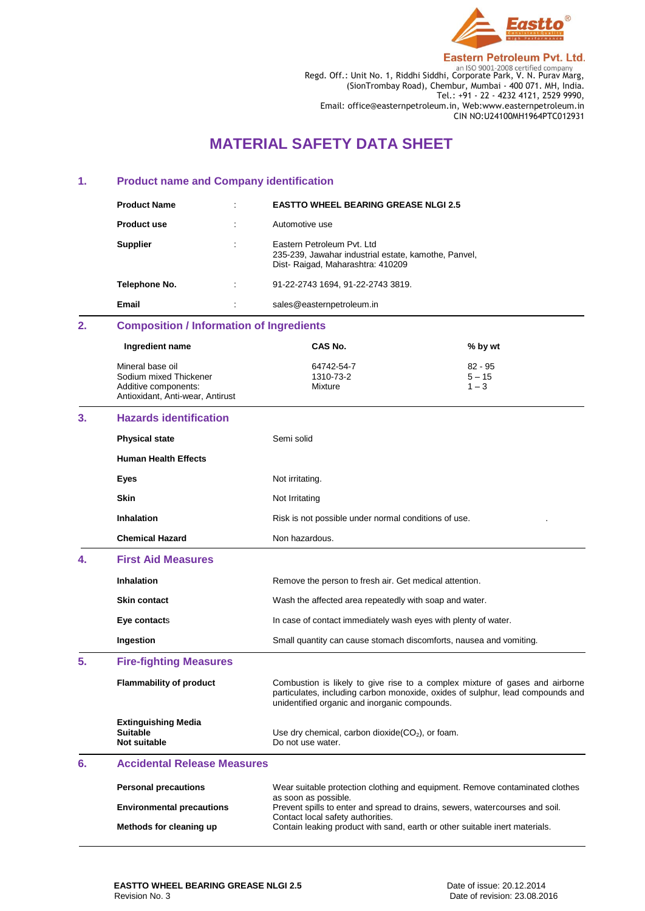

**Eastern Petroleum Pvt. Ltd.** 

Regd. Off.: Unit No. 1, Riddhi Siddhi, Corporate Park, V. N. Purav Marg, (SionTrombay Road), Chembur, Mumbai - 400 071. MH, India. Tel.: +91 - 22 - 4232 4121, 2529 9990, Email: office@easternpetroleum.in, Web:www.easternpetroleum.in CIN NO:U24100MH1964PTC012931

# **MATERIAL SAFETY DATA SHEET**

### **1. Product name and Company identification**

| <b>Product Name</b> | $\bullet$ | <b>EASTTO WHEEL BEARING GREASE NLGI 2.5</b>                                                                             |
|---------------------|-----------|-------------------------------------------------------------------------------------------------------------------------|
| <b>Product use</b>  |           | Automotive use                                                                                                          |
| <b>Supplier</b>     |           | Eastern Petroleum Pyt. Ltd.<br>235-239, Jawahar industrial estate, kamothe, Panvel,<br>Dist-Raigad, Maharashtra: 410209 |
| Telephone No.       | $\bullet$ | 91-22-2743 1694, 91-22-2743 3819.                                                                                       |
| Email               | $\cdot$   | sales@easternpetroleum.in                                                                                               |

# **2. Composition / Information of Ingredients**

**Chemical Hazard** Non hazardous.

| Ingredient name                                                                                        | CAS No.                                              | % by wt                          |
|--------------------------------------------------------------------------------------------------------|------------------------------------------------------|----------------------------------|
| Mineral base oil<br>Sodium mixed Thickener<br>Additive components:<br>Antioxidant, Anti-wear, Antirust | 64742-54-7<br>1310-73-2<br>Mixture                   | $82 - 95$<br>$5 - 15$<br>$1 - 3$ |
| 3.<br><b>Hazards identification</b>                                                                    |                                                      |                                  |
| <b>Physical state</b>                                                                                  | Semi solid                                           |                                  |
| <b>Human Health Effects</b>                                                                            |                                                      |                                  |
| Eyes                                                                                                   | Not irritating.                                      |                                  |
| <b>Skin</b>                                                                                            | Not Irritating                                       |                                  |
| <b>Inhalation</b>                                                                                      | Risk is not possible under normal conditions of use. | ٠                                |

| 4. | <b>First Aid Measures</b>                                     |                                                                                                                                                                                                                 |
|----|---------------------------------------------------------------|-----------------------------------------------------------------------------------------------------------------------------------------------------------------------------------------------------------------|
|    | <b>Inhalation</b>                                             | Remove the person to fresh air. Get medical attention.                                                                                                                                                          |
|    | <b>Skin contact</b>                                           | Wash the affected area repeatedly with soap and water.                                                                                                                                                          |
|    | Eye contacts                                                  | In case of contact immediately wash eyes with plenty of water.                                                                                                                                                  |
|    | Ingestion                                                     | Small quantity can cause stomach discomforts, nausea and vomiting.                                                                                                                                              |
| 5. | <b>Fire-fighting Measures</b>                                 |                                                                                                                                                                                                                 |
|    | <b>Flammability of product</b>                                | Combustion is likely to give rise to a complex mixture of gases and airborne<br>particulates, including carbon monoxide, oxides of sulphur, lead compounds and<br>unidentified organic and inorganic compounds. |
|    |                                                               |                                                                                                                                                                                                                 |
|    | <b>Extinguishing Media</b><br><b>Suitable</b><br>Not suitable | Use dry chemical, carbon dioxide $(CO_2)$ , or foam.<br>Do not use water.                                                                                                                                       |

| <b>Personal precautions</b>      | Wear suitable protection clothing and equipment. Remove contaminated clothes |
|----------------------------------|------------------------------------------------------------------------------|
|                                  | as soon as possible.                                                         |
| <b>Environmental precautions</b> | Prevent spills to enter and spread to drains, sewers, watercourses and soil. |
|                                  | Contact local safety authorities.                                            |
| Methods for cleaning up          | Contain leaking product with sand, earth or other suitable inert materials.  |
|                                  |                                                                              |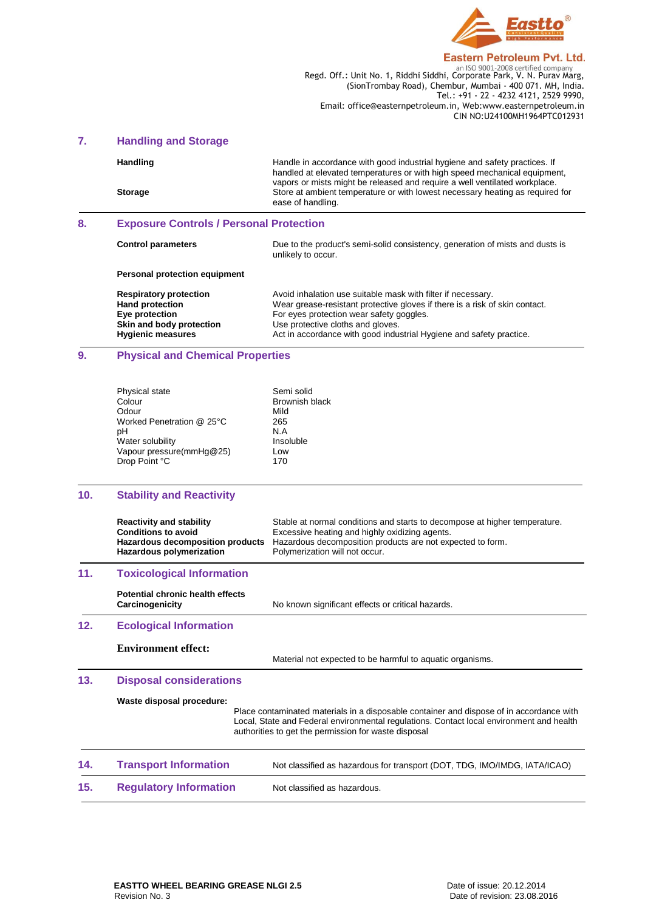

#### **Eastern Petroleum Pvt. Ltd.**

**Regd. Off.: Unit No. 1, Riddhi Siddhi, Corporate Park, V. N. Purav Marg,** Regd. Off.: Unit No. 1, Riddhi Siddhi, Corporate Park, V. N. Purav Marg, (SionTrombay Road), Chembur, Mumbai - 400 071. MH, India. Tel.: +91 - 22 - 4232 4121, 2529 9990, Email: office@easternpetroleum.in, Web:www.easternpetroleum.in CIN NO:U24100MH1964PTC012931

### **7. Handling and Storage**

| <b>Handling</b> | Handle in accordance with good industrial hygiene and safety practices. If<br>handled at elevated temperatures or with high speed mechanical equipment,                          |
|-----------------|----------------------------------------------------------------------------------------------------------------------------------------------------------------------------------|
| <b>Storage</b>  | vapors or mists might be released and require a well ventilated workplace.<br>Store at ambient temperature or with lowest necessary heating as required for<br>ease of handling. |

### **8. Exposure Controls / Personal Protection**

**Skin and body protection**<br> **Use protective cloths and gloves.**<br> **Hygienic measures**<br> **Act in accordance with good indu-**

| <b>Control parameters</b>                                                                             | Due to the product's semi-solid consistency, generation of mists and dusts is<br>unlikely to occur.                                                                                                                          |
|-------------------------------------------------------------------------------------------------------|------------------------------------------------------------------------------------------------------------------------------------------------------------------------------------------------------------------------------|
| Personal protection equipment                                                                         |                                                                                                                                                                                                                              |
| <b>Respiratory protection</b><br><b>Hand protection</b><br>Eye protection<br>Skin and body protection | Avoid inhalation use suitable mask with filter if necessary.<br>Wear grease-resistant protective gloves if there is a risk of skin contact.<br>For eyes protection wear safety goggles.<br>Use protective cloths and gloves. |

# **9. Physical and Chemical Properties**

| Physical state            | Semi solid            |
|---------------------------|-----------------------|
| Colour                    | <b>Brownish black</b> |
| Odour                     | Mild                  |
| Worked Penetration @ 25°C | 265                   |
| pН                        | N.A                   |
| Water solubility          | Insoluble             |
| Vapour pressure(mmHg@25)  | Low                   |
| Drop Point °C             | 170                   |
|                           |                       |

Act in accordance with good industrial Hygiene and safety practice.

### **10. Stability and Reactivity**

|     | <b>Reactivity and stability</b><br><b>Conditions to avoid</b><br>Hazardous decomposition products<br>Hazardous polymerization | Stable at normal conditions and starts to decompose at higher temperature.<br>Excessive heating and highly oxidizing agents.<br>Hazardous decomposition products are not expected to form.<br>Polymerization will not occur.                 |
|-----|-------------------------------------------------------------------------------------------------------------------------------|----------------------------------------------------------------------------------------------------------------------------------------------------------------------------------------------------------------------------------------------|
| 11. | <b>Toxicological Information</b>                                                                                              |                                                                                                                                                                                                                                              |
|     | Potential chronic health effects<br>Carcinogenicity                                                                           | No known significant effects or critical hazards.                                                                                                                                                                                            |
| 12. | <b>Ecological Information</b>                                                                                                 |                                                                                                                                                                                                                                              |
|     | <b>Environment effect:</b>                                                                                                    | Material not expected to be harmful to aquatic organisms.                                                                                                                                                                                    |
| 13. | <b>Disposal considerations</b>                                                                                                |                                                                                                                                                                                                                                              |
|     | Waste disposal procedure:                                                                                                     | Place contaminated materials in a disposable container and dispose of in accordance with<br>Local, State and Federal environmental regulations. Contact local environment and health<br>authorities to get the permission for waste disposal |
| 14. | <b>Transport Information</b>                                                                                                  | Not classified as hazardous for transport (DOT, TDG, IMO/IMDG, IATA/ICAO)                                                                                                                                                                    |
| 15. | <b>Regulatory Information</b>                                                                                                 | Not classified as hazardous.                                                                                                                                                                                                                 |
|     |                                                                                                                               |                                                                                                                                                                                                                                              |